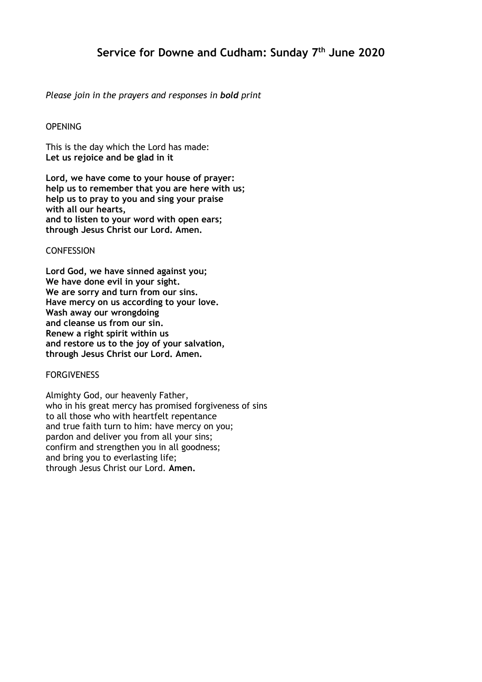# **Service for Downe and Cudham: Sunday 7 th June 2020**

## *Please join in the prayers and responses in bold print*

## **OPENING**

This is the day which the Lord has made: **Let us rejoice and be glad in it**

**Lord, we have come to your house of prayer: help us to remember that you are here with us; help us to pray to you and sing your praise with all our hearts, and to listen to your word with open ears; through Jesus Christ our Lord. Amen.**

#### **CONFESSION**

**Lord God, we have sinned against you; We have done evil in your sight. We are sorry and turn from our sins. Have mercy on us according to your love. Wash away our wrongdoing and cleanse us from our sin. Renew a right spirit within us and restore us to the joy of your salvation, through Jesus Christ our Lord. Amen.**

#### FORGIVENESS

Almighty God, our heavenly Father, who in his great mercy has promised forgiveness of sins to all those who with heartfelt repentance and true faith turn to him: have mercy on you; pardon and deliver you from all your sins; confirm and strengthen you in all goodness; and bring you to everlasting life; through Jesus Christ our Lord. **Amen.**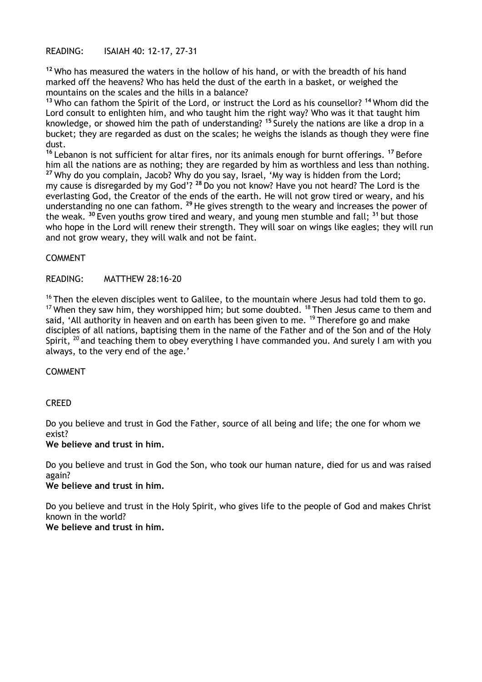READING: ISAIAH 40: 12-17, 27-31

**<sup>12</sup>** Who has measured the waters in the hollow of his hand, or with the breadth of his hand marked off the heavens? Who has held the dust of the earth in a basket, or weighed the mountains on the scales and the hills in a balance?

**<sup>13</sup>** Who can fathom the Spirit of the Lord, or instruct the Lord as his counsellor? **<sup>14</sup>** Whom did the Lord consult to enlighten him, and who taught him the right way? Who was it that taught him knowledge, or showed him the path of understanding? **<sup>15</sup>** Surely the nations are like a drop in a bucket; they are regarded as dust on the scales; he weighs the islands as though they were fine dust.

**<sup>16</sup>** Lebanon is not sufficient for altar fires, nor its animals enough for burnt offerings. **<sup>17</sup>** Before him all the nations are as nothing; they are regarded by him as worthless and less than nothing. **<sup>27</sup>** Why do you complain, Jacob? Why do you say, Israel, 'My way is hidden from the Lord; my cause is disregarded by my God'? **<sup>28</sup>** Do you not know? Have you not heard? The Lord is the everlasting God, the Creator of the ends of the earth. He will not grow tired or weary, and his understanding no one can fathom. **<sup>29</sup>** He gives strength to the weary and increases the power of the weak. **<sup>30</sup>** Even youths grow tired and weary, and young men stumble and fall; **<sup>31</sup>** but those who hope in the Lord will renew their strength. They will soar on wings like eagles; they will run and not grow weary, they will walk and not be faint.

#### COMMENT

#### READING: MATTHEW 28:16-20

<sup>16</sup> Then the eleven disciples went to Galilee, to the mountain where Jesus had told them to go. <sup>17</sup> When they saw him, they worshipped him; but some doubted. <sup>18</sup> Then Jesus came to them and said, 'All authority in heaven and on earth has been given to me.  $19$  Therefore go and make disciples of all nations, baptising them in the name of the Father and of the Son and of the Holy Spirit,  $^{20}$  and teaching them to obey everything I have commanded you. And surely I am with you always, to the very end of the age.'

#### COMMENT

## CREED

Do you believe and trust in God the Father, source of all being and life; the one for whom we exist?

#### **We believe and trust in him.**

Do you believe and trust in God the Son, who took our human nature, died for us and was raised again?

#### **We believe and trust in him.**

Do you believe and trust in the Holy Spirit, who gives life to the people of God and makes Christ known in the world?

## **We believe and trust in him.**